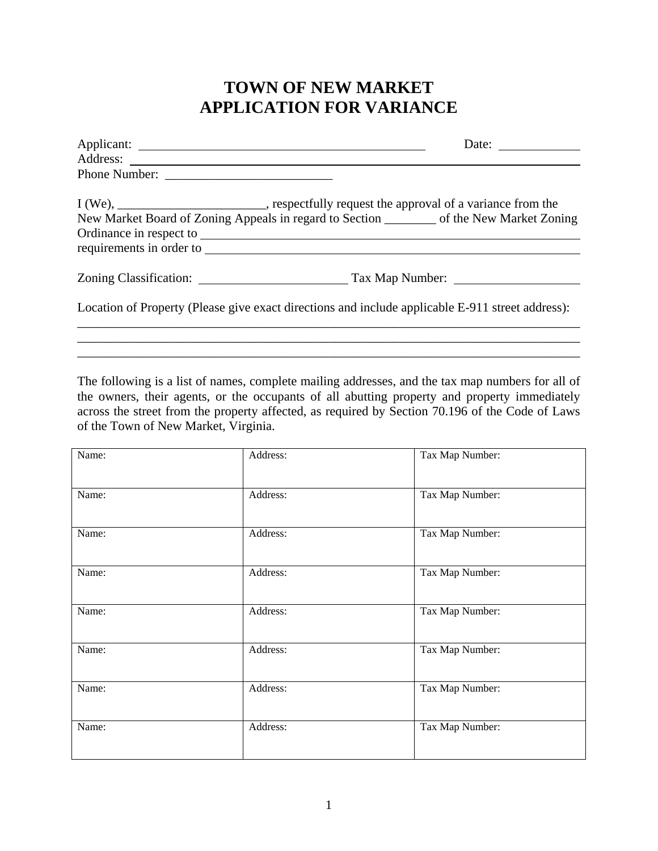## **TOWN OF NEW MARKET APPLICATION FOR VARIANCE**

| Date: $\qquad \qquad$                                                                            |
|--------------------------------------------------------------------------------------------------|
|                                                                                                  |
|                                                                                                  |
| I (We), ____________________________, respectfully request the approval of a variance from the   |
| New Market Board of Zoning Appeals in regard to Section _________ of the New Market Zoning       |
|                                                                                                  |
|                                                                                                  |
|                                                                                                  |
| Location of Property (Please give exact directions and include applicable E-911 street address): |

The following is a list of names, complete mailing addresses, and the tax map numbers for all of the owners, their agents, or the occupants of all abutting property and property immediately across the street from the property affected, as required by Section 70.196 of the Code of Laws of the Town of New Market, Virginia.

\_\_\_\_\_\_\_\_\_\_\_\_\_\_\_\_\_\_\_\_\_\_\_\_\_\_\_\_\_\_\_\_\_\_\_\_\_\_\_\_\_\_\_\_\_\_\_\_\_\_\_\_\_\_\_\_\_\_\_\_\_\_\_\_\_\_\_\_\_\_\_\_\_\_\_\_\_\_ \_\_\_\_\_\_\_\_\_\_\_\_\_\_\_\_\_\_\_\_\_\_\_\_\_\_\_\_\_\_\_\_\_\_\_\_\_\_\_\_\_\_\_\_\_\_\_\_\_\_\_\_\_\_\_\_\_\_\_\_\_\_\_\_\_\_\_\_\_\_\_\_\_\_\_\_\_\_

| Name: | Address: | Tax Map Number: |
|-------|----------|-----------------|
| Name: | Address: | Tax Map Number: |
| Name: | Address: | Tax Map Number: |
| Name: | Address: | Tax Map Number: |
| Name: | Address: | Tax Map Number: |
| Name: | Address: | Tax Map Number: |
| Name: | Address: | Tax Map Number: |
| Name: | Address: | Tax Map Number: |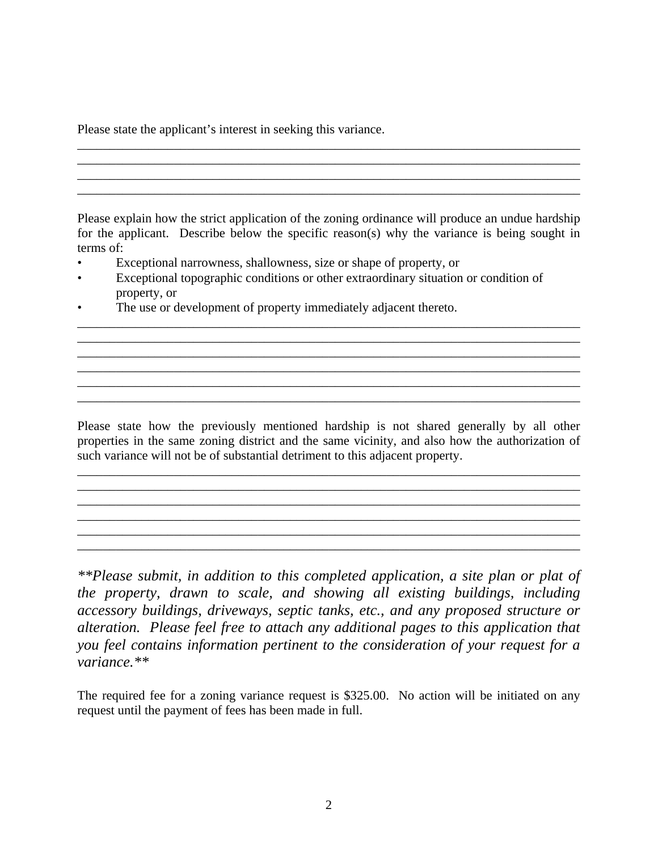Please state the applicant's interest in seeking this variance.

Please explain how the strict application of the zoning ordinance will produce an undue hardship for the applicant. Describe below the specific reason(s) why the variance is being sought in terms of:

\_\_\_\_\_\_\_\_\_\_\_\_\_\_\_\_\_\_\_\_\_\_\_\_\_\_\_\_\_\_\_\_\_\_\_\_\_\_\_\_\_\_\_\_\_\_\_\_\_\_\_\_\_\_\_\_\_\_\_\_\_\_\_\_\_\_\_\_\_\_\_\_\_\_\_\_\_\_ \_\_\_\_\_\_\_\_\_\_\_\_\_\_\_\_\_\_\_\_\_\_\_\_\_\_\_\_\_\_\_\_\_\_\_\_\_\_\_\_\_\_\_\_\_\_\_\_\_\_\_\_\_\_\_\_\_\_\_\_\_\_\_\_\_\_\_\_\_\_\_\_\_\_\_\_\_\_ \_\_\_\_\_\_\_\_\_\_\_\_\_\_\_\_\_\_\_\_\_\_\_\_\_\_\_\_\_\_\_\_\_\_\_\_\_\_\_\_\_\_\_\_\_\_\_\_\_\_\_\_\_\_\_\_\_\_\_\_\_\_\_\_\_\_\_\_\_\_\_\_\_\_\_\_\_\_ \_\_\_\_\_\_\_\_\_\_\_\_\_\_\_\_\_\_\_\_\_\_\_\_\_\_\_\_\_\_\_\_\_\_\_\_\_\_\_\_\_\_\_\_\_\_\_\_\_\_\_\_\_\_\_\_\_\_\_\_\_\_\_\_\_\_\_\_\_\_\_\_\_\_\_\_\_\_ \_\_\_\_\_\_\_\_\_\_\_\_\_\_\_\_\_\_\_\_\_\_\_\_\_\_\_\_\_\_\_\_\_\_\_\_\_\_\_\_\_\_\_\_\_\_\_\_\_\_\_\_\_\_\_\_\_\_\_\_\_\_\_\_\_\_\_\_\_\_\_\_\_\_\_\_\_\_

\_\_\_\_\_\_\_\_\_\_\_\_\_\_\_\_\_\_\_\_\_\_\_\_\_\_\_\_\_\_\_\_\_\_\_\_\_\_\_\_\_\_\_\_\_\_\_\_\_\_\_\_\_\_\_\_\_\_\_\_\_\_\_\_\_\_\_\_\_\_\_\_\_\_\_\_\_\_ \_\_\_\_\_\_\_\_\_\_\_\_\_\_\_\_\_\_\_\_\_\_\_\_\_\_\_\_\_\_\_\_\_\_\_\_\_\_\_\_\_\_\_\_\_\_\_\_\_\_\_\_\_\_\_\_\_\_\_\_\_\_\_\_\_\_\_\_\_\_\_\_\_\_\_\_\_\_ \_\_\_\_\_\_\_\_\_\_\_\_\_\_\_\_\_\_\_\_\_\_\_\_\_\_\_\_\_\_\_\_\_\_\_\_\_\_\_\_\_\_\_\_\_\_\_\_\_\_\_\_\_\_\_\_\_\_\_\_\_\_\_\_\_\_\_\_\_\_\_\_\_\_\_\_\_\_ \_\_\_\_\_\_\_\_\_\_\_\_\_\_\_\_\_\_\_\_\_\_\_\_\_\_\_\_\_\_\_\_\_\_\_\_\_\_\_\_\_\_\_\_\_\_\_\_\_\_\_\_\_\_\_\_\_\_\_\_\_\_\_\_\_\_\_\_\_\_\_\_\_\_\_\_\_\_

- Exceptional narrowness, shallowness, size or shape of property, or
- Exceptional topographic conditions or other extraordinary situation or condition of property, or
- The use or development of property immediately adjacent thereto.

Please state how the previously mentioned hardship is not shared generally by all other properties in the same zoning district and the same vicinity, and also how the authorization of such variance will not be of substantial detriment to this adjacent property.

\_\_\_\_\_\_\_\_\_\_\_\_\_\_\_\_\_\_\_\_\_\_\_\_\_\_\_\_\_\_\_\_\_\_\_\_\_\_\_\_\_\_\_\_\_\_\_\_\_\_\_\_\_\_\_\_\_\_\_\_\_\_\_\_\_\_\_\_\_\_\_\_\_\_\_\_\_\_ \_\_\_\_\_\_\_\_\_\_\_\_\_\_\_\_\_\_\_\_\_\_\_\_\_\_\_\_\_\_\_\_\_\_\_\_\_\_\_\_\_\_\_\_\_\_\_\_\_\_\_\_\_\_\_\_\_\_\_\_\_\_\_\_\_\_\_\_\_\_\_\_\_\_\_\_\_\_ \_\_\_\_\_\_\_\_\_\_\_\_\_\_\_\_\_\_\_\_\_\_\_\_\_\_\_\_\_\_\_\_\_\_\_\_\_\_\_\_\_\_\_\_\_\_\_\_\_\_\_\_\_\_\_\_\_\_\_\_\_\_\_\_\_\_\_\_\_\_\_\_\_\_\_\_\_\_ \_\_\_\_\_\_\_\_\_\_\_\_\_\_\_\_\_\_\_\_\_\_\_\_\_\_\_\_\_\_\_\_\_\_\_\_\_\_\_\_\_\_\_\_\_\_\_\_\_\_\_\_\_\_\_\_\_\_\_\_\_\_\_\_\_\_\_\_\_\_\_\_\_\_\_\_\_\_ \_\_\_\_\_\_\_\_\_\_\_\_\_\_\_\_\_\_\_\_\_\_\_\_\_\_\_\_\_\_\_\_\_\_\_\_\_\_\_\_\_\_\_\_\_\_\_\_\_\_\_\_\_\_\_\_\_\_\_\_\_\_\_\_\_\_\_\_\_\_\_\_\_\_\_\_\_\_ \_\_\_\_\_\_\_\_\_\_\_\_\_\_\_\_\_\_\_\_\_\_\_\_\_\_\_\_\_\_\_\_\_\_\_\_\_\_\_\_\_\_\_\_\_\_\_\_\_\_\_\_\_\_\_\_\_\_\_\_\_\_\_\_\_\_\_\_\_\_\_\_\_\_\_\_\_\_

*\*\*Please submit, in addition to this completed application, a site plan or plat of the property, drawn to scale, and showing all existing buildings, including accessory buildings, driveways, septic tanks, etc., and any proposed structure or alteration. Please feel free to attach any additional pages to this application that you feel contains information pertinent to the consideration of your request for a variance.\*\** 

The required fee for a zoning variance request is \$325.00. No action will be initiated on any request until the payment of fees has been made in full.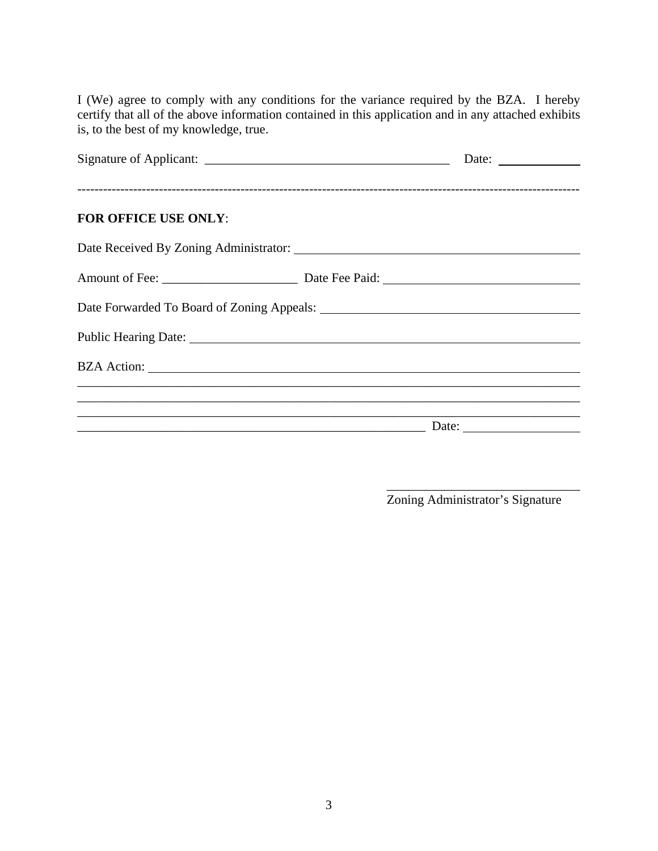I (We) agree to comply with any conditions for the variance required by the BZA. I hereby certify that all of the above information contained in this application and in any attached exhibits is, to the best of my knowledge, true.

| <b>FOR OFFICE USE ONLY:</b>                                                                                                                                                                                                    |                                                                                           |
|--------------------------------------------------------------------------------------------------------------------------------------------------------------------------------------------------------------------------------|-------------------------------------------------------------------------------------------|
|                                                                                                                                                                                                                                |                                                                                           |
|                                                                                                                                                                                                                                |                                                                                           |
|                                                                                                                                                                                                                                |                                                                                           |
| Public Hearing Date: 1988. The Contract of the Contract of the Contract of the Contract of the Contract of the Contract of the Contract of the Contract of the Contract of the Contract of the Contract of the Contract of the |                                                                                           |
|                                                                                                                                                                                                                                |                                                                                           |
|                                                                                                                                                                                                                                |                                                                                           |
|                                                                                                                                                                                                                                | the control of the control of the control of the control of the control of the control of |

 $\overline{\phantom{a}}$  , and the contract of the contract of the contract of the contract of the contract of the contract of the contract of the contract of the contract of the contract of the contract of the contract of the contrac

Zoning Administrator's Signature